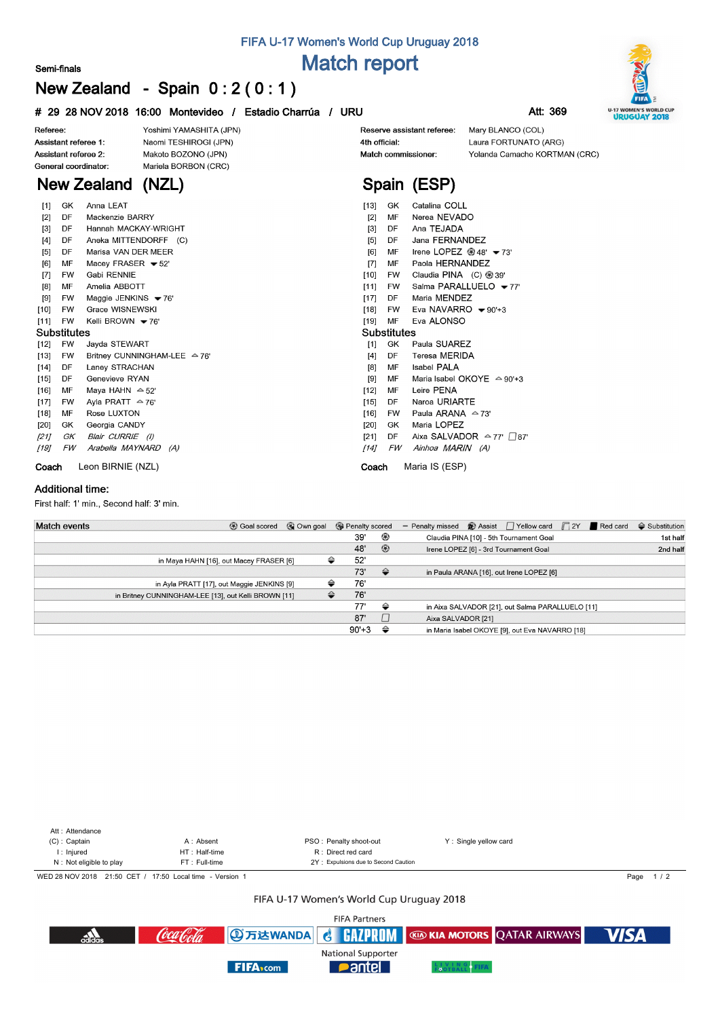#### **Semi-finals**

# **FIFA U-17 Women's World Cup Uruguay 2018 Match report**

# **New Zealand - Spain 0 : 2 ( 0 : 1 )**

|  |  |  | # 29 28 NOV 2018 16:00 Montevideo / Estadio Charrúa / URU |  |  | Att: 369 |
|--|--|--|-----------------------------------------------------------|--|--|----------|
|--|--|--|-----------------------------------------------------------|--|--|----------|

Yoshimi YAMASHITA (JPN)

Naomi TESHIROGI (JPN)

Makoto BOZONO (JPN)



Referee: Assistant referee 1: Assistant referee 2: General coordinator:

### Mariela BORBON (CRC) **New Zealand (NZL)**

| $[1]$       | GK        | Anna LEAT                                |  |  |  |  |  |  |  |  |
|-------------|-----------|------------------------------------------|--|--|--|--|--|--|--|--|
| [2]         | DF        | Mackenzie BARRY                          |  |  |  |  |  |  |  |  |
| [3]         | DF        | Hannah MACKAY-WRIGHT                     |  |  |  |  |  |  |  |  |
| [4]         | DF        | Aneka MITTENDORFF (C)                    |  |  |  |  |  |  |  |  |
| $[5]$       | DF        | Marisa VAN DER MEER                      |  |  |  |  |  |  |  |  |
| [6]         | MF        | Macey FRASER $\blacktriangleright$ 52'   |  |  |  |  |  |  |  |  |
| [7]         | FW .      | Gabi RENNIE                              |  |  |  |  |  |  |  |  |
| [8]         | MF        | Amelia ABBOTT                            |  |  |  |  |  |  |  |  |
| [9]         | FW.       | Maggie JENKINS $\blacktriangleright$ 76' |  |  |  |  |  |  |  |  |
| [10]        | FW.       | Grace WISNEWSKI                          |  |  |  |  |  |  |  |  |
| [11]        | FW        | Kelli BROWN • 76'                        |  |  |  |  |  |  |  |  |
| Substitutes |           |                                          |  |  |  |  |  |  |  |  |
| [12]        | <b>FW</b> | Jayda STEWART                            |  |  |  |  |  |  |  |  |
| [13]        | FW        | Britney CUNNINGHAM-LEE 수 76'             |  |  |  |  |  |  |  |  |
| [14]        | DF        | Laney STRACHAN                           |  |  |  |  |  |  |  |  |
| $[15]$      | DF        | Genevieve RYAN                           |  |  |  |  |  |  |  |  |
| [16]        | MF        | Maya HAHN $\approx$ 52'                  |  |  |  |  |  |  |  |  |
| [17]        | FW        | Avla PRATT $\approx$ 76'                 |  |  |  |  |  |  |  |  |
| [18]        | MF        | Rose LUXTON                              |  |  |  |  |  |  |  |  |
| [20]        | GK.       | Georgia CANDY                            |  |  |  |  |  |  |  |  |
| [21]        | GK        | Blair CURRIE (I)                         |  |  |  |  |  |  |  |  |
| [19]        | FW        | Arabella MAYNARD<br>(A)                  |  |  |  |  |  |  |  |  |
|             |           |                                          |  |  |  |  |  |  |  |  |

Reserve assistant referee: 4th official: Match commissioner:

Mary BLANCO (COL) Laura FORTUNATO (ARG) Yolanda Camacho KORTMAN (CRC)

## **Spain (ESP)** [13] GK Catalina COLL

| [2]         | MF        | Nerea NEVADO                                 |  |  |  |  |  |  |  |  |  |
|-------------|-----------|----------------------------------------------|--|--|--|--|--|--|--|--|--|
| [3]         | DF        | Ana TEJADA                                   |  |  |  |  |  |  |  |  |  |
|             | $[5]$ DF  | Jana FERNANDEZ                               |  |  |  |  |  |  |  |  |  |
| [6]         | MF        | Irene LOPEZ $@$ 48' $\blacktriangledown$ 73' |  |  |  |  |  |  |  |  |  |
|             | [7] MF    | Paola HERNANDEZ                              |  |  |  |  |  |  |  |  |  |
|             | [10] FW   | Claudia PINA (C) ® 39'                       |  |  |  |  |  |  |  |  |  |
|             | [11] FW   | Salma PARALLUELO <del>v</del> 77'            |  |  |  |  |  |  |  |  |  |
|             | [17] DF   | Maria MENDEZ                                 |  |  |  |  |  |  |  |  |  |
|             | [18] FW   | Eva NAVARRO $\blacktriangleright$ 90'+3      |  |  |  |  |  |  |  |  |  |
| [19]        | MF        | Eva ALONSO                                   |  |  |  |  |  |  |  |  |  |
| Substitutes |           |                                              |  |  |  |  |  |  |  |  |  |
| [1]         | GK        | Paula SUAREZ                                 |  |  |  |  |  |  |  |  |  |
|             | [4] DF    | Teresa MERIDA                                |  |  |  |  |  |  |  |  |  |
|             | [8] MF    | Isabel PALA                                  |  |  |  |  |  |  |  |  |  |
| [9] MF      |           | Maria Isabel OKOYE △ 90'+3                   |  |  |  |  |  |  |  |  |  |
|             | [12] MF   | Leire PENA                                   |  |  |  |  |  |  |  |  |  |
|             | [15] DF   | Naroa URIARTE                                |  |  |  |  |  |  |  |  |  |
| [16]        | <b>FW</b> | Paula ARANA $\approx$ 73'                    |  |  |  |  |  |  |  |  |  |
|             | [20] GK   | Maria LOPEZ                                  |  |  |  |  |  |  |  |  |  |
| [21]        | DF        | Aixa SALVADOR $\sim$ 77' $\Box$ 87'          |  |  |  |  |  |  |  |  |  |
| [14]        | FW        | Ainhoa MARIN (A)                             |  |  |  |  |  |  |  |  |  |
| Coach       |           | Maria IS (ESP)                               |  |  |  |  |  |  |  |  |  |

#### **Additional time:**

First half: 1' min., Second half: 3' min.

**Coach** Leon BIRNIE (NZL)

| <b>Match events</b><br><b>B</b> Goal scored          | © Own goal | <b>B</b> Penalty scored |                | - Penalty missed $\bigcirc$ Assist $\bigcap$ Yellow card $\bigcap$ 2Y <b>F</b> Red card | $\ominus$ Substitution |
|------------------------------------------------------|------------|-------------------------|----------------|-----------------------------------------------------------------------------------------|------------------------|
|                                                      |            | 39'                     | ⊛              | Claudia PINA [10] - 5th Tournament Goal                                                 | 1st half               |
|                                                      |            | 48'                     | $\circledcirc$ | Irene LOPEZ [6] - 3rd Tournament Goal                                                   | 2nd half               |
| in Maya HAHN [16], out Macey FRASER [6]              |            | 52'<br>⇔                |                |                                                                                         |                        |
|                                                      |            | 73'                     | $\Rightarrow$  | in Paula ARANA [16], out Irene LOPEZ [6]                                                |                        |
| in Ayla PRATT [17], out Maggie JENKINS [9]           |            | 76'<br>≙                |                |                                                                                         |                        |
| in Britney CUNNINGHAM-LEE [13], out Kelli BROWN [11] |            | 76'<br>≙                |                |                                                                                         |                        |
|                                                      |            | 77'                     | ⇔              | in Aixa SALVADOR [21], out Salma PARALLUELO [11]                                        |                        |
|                                                      |            | 87'                     |                | Aixa SALVADOR [21]                                                                      |                        |
|                                                      |            | $90'+3$                 | ⇔              | in Maria Isabel OKOYE [9], out Eva NAVARRO [18]                                         |                        |



#### FIFA U-17 Women's World Cup Uruguay 2018